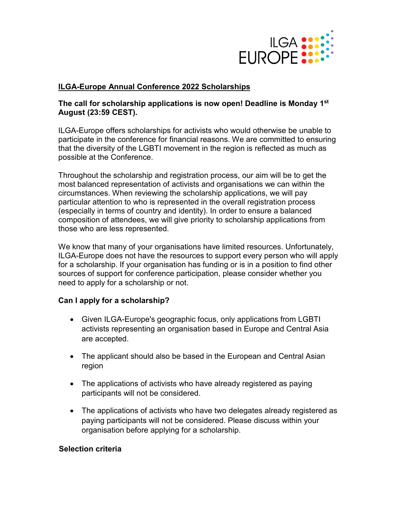

## **ILGA-Europe Annual Conference 2022 Scholarships**

### **The call for scholarship applications is now open! Deadline is Monday 1st August (23:59 CEST).**

ILGA-Europe offers scholarships for activists who would otherwise be unable to participate in the conference for financial reasons. We are committed to ensuring that the diversity of the LGBTI movement in the region is reflected as much as possible at the Conference.

Throughout the scholarship and registration process, our aim will be to get the most balanced representation of activists and organisations we can within the circumstances. When reviewing the scholarship applications, we will pay particular attention to who is represented in the overall registration process (especially in terms of country and identity). In order to ensure a balanced composition of attendees, we will give priority to scholarship applications from those who are less represented.

We know that many of your organisations have limited resources. Unfortunately, ILGA-Europe does not have the resources to support every person who will apply for a scholarship. If your organisation has funding or is in a position to find other sources of support for conference participation, please consider whether you need to apply for a scholarship or not.

#### **Can I apply for a scholarship?**

- Given ILGA-Europe's geographic focus, only applications from LGBTI activists representing an organisation based in Europe and Central Asia are accepted.
- The applicant should also be based in the European and Central Asian region
- The applications of activists who have already registered as paying participants will not be considered.
- The applications of activists who have two delegates already registered as paying participants will not be considered. Please discuss within your organisation before applying for a scholarship.

#### **Selection criteria**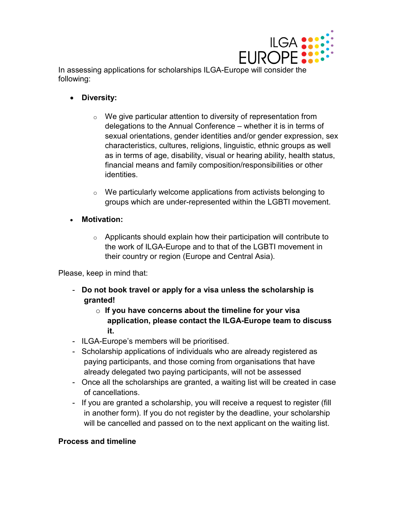

In assessing applications for scholarships ILGA-Europe will consider the following:

- **Diversity:**
	- $\circ$  We give particular attention to diversity of representation from delegations to the Annual Conference – whether it is in terms of sexual orientations, gender identities and/or gender expression, sex characteristics, cultures, religions, linguistic, ethnic groups as well as in terms of age, disability, visual or hearing ability, health status, financial means and family composition/responsibilities or other identities.
	- o We particularly welcome applications from activists belonging to groups which are under-represented within the LGBTI movement.
- **Motivation:**
	- $\circ$  Applicants should explain how their participation will contribute to the work of ILGA-Europe and to that of the LGBTI movement in their country or region (Europe and Central Asia).

Please, keep in mind that:

- **Do not book travel or apply for a visa unless the scholarship is granted!**
	- o **If you have concerns about the timeline for your visa application, please contact the ILGA-Europe team to discuss it.**
- ILGA-Europe's members will be prioritised.
- Scholarship applications of individuals who are already registered as paying participants, and those coming from organisations that have already delegated two paying participants, will not be assessed
- Once all the scholarships are granted, a waiting list will be created in case of cancellations.
- If you are granted a scholarship, you will receive a request to register (fill in another form). If you do not register by the deadline, your scholarship will be cancelled and passed on to the next applicant on the waiting list.

#### **Process and timeline**